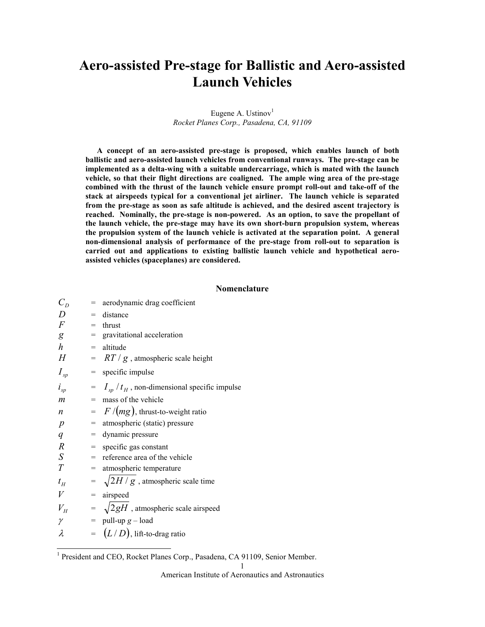# **Aero-assisted Pre-stage for Ballistic and Aero-assisted Launch Vehicles**

# Eugene A. Ustinov $<sup>1</sup>$ </sup> *Rocket Planes Corp., Pasadena, CA, 91109*

**A concept of an aero-assisted pre-stage is proposed, which enables launch of both ballistic and aero-assisted launch vehicles from conventional runways. The pre-stage can be implemented as a delta-wing with a suitable undercarriage, which is mated with the launch vehicle, so that their flight directions are coaligned. The ample wing area of the pre-stage combined with the thrust of the launch vehicle ensure prompt roll-out and take-off of the stack at airspeeds typical for a conventional jet airliner. The launch vehicle is separated from the pre-stage as soon as safe altitude is achieved, and the desired ascent trajectory is reached. Nominally, the pre-stage is non-powered. As an option, to save the propellant of the launch vehicle, the pre-stage may have its own short-burn propulsion system, whereas the propulsion system of the launch vehicle is activated at the separation point. A general non-dimensional analysis of performance of the pre-stage from roll-out to separation is carried out and applications to existing ballistic launch vehicle and hypothetical aeroassisted vehicles (spaceplanes) are considered.** 

## **Nomenclature**

| $C_D$                      |     | = aerodynamic drag coefficient                    |
|----------------------------|-----|---------------------------------------------------|
| $\overline{D}$             | $=$ | distance                                          |
| $\overline{F}$             | $=$ | thrust                                            |
| g                          |     | = gravitational acceleration                      |
| h                          | $=$ | altitude                                          |
| H                          |     | $= RT/g$ , atmospheric scale height               |
| $I_{\rm sp}$               |     | $=$ specific impulse                              |
| $i_{\rm sp}$               |     | $I_{sp}/t_{H}$ , non-dimensional specific impulse |
| m                          |     | $=$ mass of the vehicle                           |
| $\boldsymbol{n}$           |     | $=$ $F/(mg)$ , thrust-to-weight ratio             |
| $\boldsymbol{p}$           |     | = atmospheric (static) pressure                   |
| q                          | $=$ | dynamic pressure                                  |
| $\boldsymbol{R}$           | $=$ | specific gas constant                             |
| S                          | $=$ | reference area of the vehicle                     |
| T                          | $=$ | atmospheric temperature                           |
| $t_H$                      |     | $= \sqrt{2H/g}$ , atmospheric scale time          |
| V                          |     | $=$ airspeed                                      |
| $V_{\scriptscriptstyle H}$ |     | $= \sqrt{2gH}$ , atmospheric scale airspeed       |
| $\gamma$                   |     | $=$ pull-up $g$ – load                            |
| λ                          |     | $= (L/D)$ , lift-to-drag ratio                    |

<sup>&</sup>lt;sup>1</sup> President and CEO, Rocket Planes Corp., Pasadena, CA 91109, Senior Member.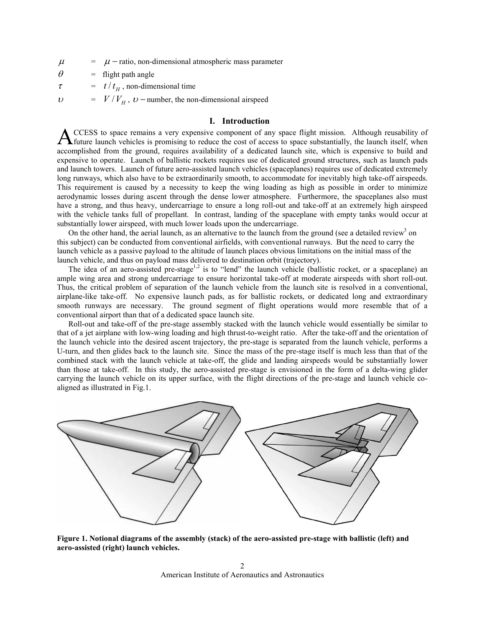$\mu$  =  $\mu$  – ratio, non-dimensional atmospheric mass parameter

 $\theta$  = flight path angle

 $\tau$  =  $t/t_H$ , non-dimensional time

 $U = V/V_H$ ,  $U$  – number, the non-dimensional airspeed

# **I. Introduction**

CCESS to space remains a very expensive component of any space flight mission. Although reusability of future launch vehicles is promising to reduce the cost of access to space substantially, the launch itself, when ACCESS to space remains a very expensive component of any space flight mission. Although reusability of future launch vehicles is promising to reduce the cost of access to space substantially, the launch itself, when accom expensive to operate. Launch of ballistic rockets requires use of dedicated ground structures, such as launch pads and launch towers. Launch of future aero-assisted launch vehicles (spaceplanes) requires use of dedicated extremely long runways, which also have to be extraordinarily smooth, to accommodate for inevitably high take-off airspeeds. This requirement is caused by a necessity to keep the wing loading as high as possible in order to minimize aerodynamic losses during ascent through the dense lower atmosphere. Furthermore, the spaceplanes also must have a strong, and thus heavy, undercarriage to ensure a long roll-out and take-off at an extremely high airspeed with the vehicle tanks full of propellant. In contrast, landing of the spaceplane with empty tanks would occur at substantially lower airspeed, with much lower loads upon the undercarriage.

On the other hand, the aerial launch, as an alternative to the launch from the ground (see a detailed review<sup>3</sup> on this subject) can be conducted from conventional airfields, with conventional runways. But the need to carry the launch vehicle as a passive payload to the altitude of launch places obvious limitations on the initial mass of the launch vehicle, and thus on payload mass delivered to destination orbit (trajectory).

The idea of an aero-assisted pre-stage<sup>1,2</sup> is to "lend" the launch vehicle (ballistic rocket, or a spaceplane) an ample wing area and strong undercarriage to ensure horizontal take-off at moderate airspeeds with short roll-out. Thus, the critical problem of separation of the launch vehicle from the launch site is resolved in a conventional, airplane-like take-off. No expensive launch pads, as for ballistic rockets, or dedicated long and extraordinary smooth runways are necessary. The ground segment of flight operations would more resemble that of a conventional airport than that of a dedicated space launch site.

Roll-out and take-off of the pre-stage assembly stacked with the launch vehicle would essentially be similar to that of a jet airplane with low-wing loading and high thrust-to-weight ratio. After the take-off and the orientation of the launch vehicle into the desired ascent trajectory, the pre-stage is separated from the launch vehicle, performs a U-turn, and then glides back to the launch site. Since the mass of the pre-stage itself is much less than that of the combined stack with the launch vehicle at take-off, the glide and landing airspeeds would be substantially lower than those at take-off. In this study, the aero-assisted pre-stage is envisioned in the form of a delta-wing glider carrying the launch vehicle on its upper surface, with the flight directions of the pre-stage and launch vehicle coaligned as illustrated in Fig.1.



**Figure 1. Notional diagrams of the assembly (stack) of the aero-assisted pre-stage with ballistic (left) and aero-assisted (right) launch vehicles.**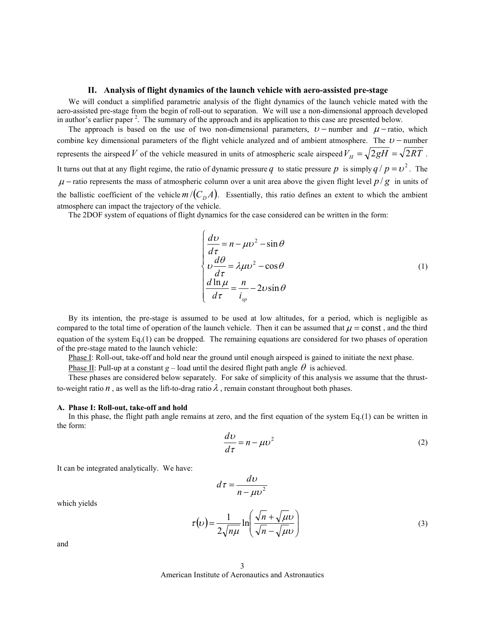#### **II. Analysis of flight dynamics of the launch vehicle with aero-assisted pre-stage**

We will conduct a simplified parametric analysis of the flight dynamics of the launch vehicle mated with the aero-assisted pre-stage from the begin of roll-out to separation. We will use a non-dimensional approach developed in author's earlier paper<sup>2</sup>. The summary of the approach and its application to this case are presented below.

The approach is based on the use of two non-dimensional parameters,  $v$  – number and  $\mu$  – ratio, which combine key dimensional parameters of the flight vehicle analyzed and of ambient atmosphere. The  $U$  – number represents the airspeed *V* of the vehicle measured in units of atmospheric scale airspeed  $V_H = \sqrt{2gH} = \sqrt{2RT}$ . It turns out that at any flight regime, the ratio of dynamic pressure *q* to static pressure *p* is simply  $q/p = v^2$ . The  $\mu$  – ratio represents the mass of atmospheric column over a unit area above the given flight level  $p / g$  in units of the ballistic coefficient of the vehicle  $m / (C_p A)$ . Essentially, this ratio defines an extent to which the ambient atmosphere can impact the trajectory of the vehicle.

The 2DOF system of equations of flight dynamics for the case considered can be written in the form:

$$
\begin{cases}\n\frac{dv}{d\tau} = n - \mu v^2 - \sin \theta \\
v \frac{d\theta}{d\tau} = \lambda \mu v^2 - \cos \theta \\
\frac{d \ln \mu}{d\tau} = \frac{n}{i_{sp}} - 2v \sin \theta\n\end{cases}
$$
\n(1)

By its intention, the pre-stage is assumed to be used at low altitudes, for a period, which is negligible as compared to the total time of operation of the launch vehicle. Then it can be assumed that  $\mu$  = const, and the third equation of the system Eq.(1) can be dropped. The remaining equations are considered for two phases of operation of the pre-stage mated to the launch vehicle:

Phase I: Roll-out, take-off and hold near the ground until enough airspeed is gained to initiate the next phase.

Phase II: Pull-up at a constant  $g$  – load until the desired flight path angle  $\theta$  is achieved.

These phases are considered below separately. For sake of simplicity of this analysis we assume that the thrustto-weight ratio *n*, as well as the lift-to-drag ratio  $\lambda$ , remain constant throughout both phases.

#### **A. Phase I: Roll-out, take-off and hold**

In this phase, the flight path angle remains at zero, and the first equation of the system Eq.(1) can be written in the form:

$$
\frac{d\upsilon}{d\tau} = n - \mu \upsilon^2 \tag{2}
$$

It can be integrated analytically. We have:

$$
d\tau = \frac{dv}{n - \mu v^2}
$$

which yields

$$
\tau(\nu) = \frac{1}{2\sqrt{n\mu}} \ln\left(\frac{\sqrt{n} + \sqrt{\mu\nu}}{\sqrt{n} - \sqrt{\mu\nu}}\right)
$$
(3)

and

American Institute of Aeronautics and Astronautics 3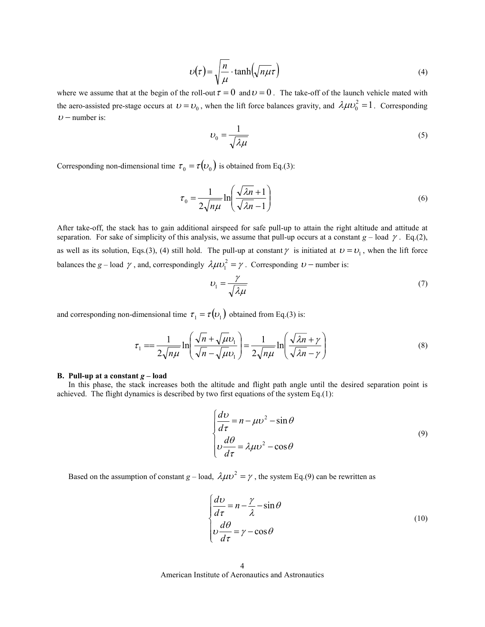$$
\upsilon(\tau) = \sqrt{\frac{n}{\mu}} \cdot \tanh\left(\sqrt{n\mu}\tau\right) \tag{4}
$$

where we assume that at the begin of the roll-out  $\tau = 0$  and  $v = 0$ . The take-off of the launch vehicle mated with the aero-assisted pre-stage occurs at  $v = v_0$ , when the lift force balances gravity, and  $\lambda \mu v_0^2 = 1$ . Corresponding  $v$  – number is:

$$
\upsilon_0 = \frac{1}{\sqrt{\lambda \mu}}\tag{5}
$$

Corresponding non-dimensional time  $\tau_0 = \tau(\omega_0)$  is obtained from Eq.(3):

$$
\tau_0 = \frac{1}{2\sqrt{n\mu}} \ln\left(\frac{\sqrt{\lambda n} + 1}{\sqrt{\lambda n} - 1}\right) \tag{6}
$$

After take-off, the stack has to gain additional airspeed for safe pull-up to attain the right altitude and attitude at separation. For sake of simplicity of this analysis, we assume that pull-up occurs at a constant  $g - \text{load } \gamma$ . Eq.(2), as well as its solution, Eqs.(3), (4) still hold. The pull-up at constant  $\gamma$  is initiated at  $v = v_1$ , when the lift force balances the *g* – load  $\gamma$ , and, correspondingly  $\lambda \mu v_1^2 = \gamma$  $n_1^2 = \gamma$ . Corresponding  $\upsilon$  – number is:

$$
U_1 = \frac{\gamma}{\sqrt{\lambda \mu}}\tag{7}
$$

and corresponding non-dimensional time  $\tau_1 = \tau(\nu_1)$  obtained from Eq.(3) is:

$$
\tau_1 = \frac{1}{2\sqrt{n\mu}} \ln\left(\frac{\sqrt{n} + \sqrt{\mu}v_1}{\sqrt{n} - \sqrt{\mu}v_1}\right) = \frac{1}{2\sqrt{n\mu}} \ln\left(\frac{\sqrt{\lambda n} + \gamma}{\sqrt{\lambda n} - \gamma}\right)
$$
(8)

## **B. Pull-up at a constant** *g* **– load**

In this phase, the stack increases both the altitude and flight path angle until the desired separation point is achieved. The flight dynamics is described by two first equations of the system Eq.(1):

$$
\begin{cases}\n\frac{dv}{d\tau} = n - \mu v^2 - \sin \theta \\
v \frac{d\theta}{d\tau} = \lambda \mu v^2 - \cos \theta\n\end{cases}
$$
\n(9)

Based on the assumption of constant *g* – load,  $\lambda \mu v^2 = \gamma$ , the system Eq.(9) can be rewritten as

$$
\begin{cases}\n\frac{d\upsilon}{d\tau} = n - \frac{\gamma}{\lambda} - \sin\theta \\
\upsilon \frac{d\theta}{d\tau} = \gamma - \cos\theta\n\end{cases}
$$
\n(10)

American Institute of Aeronautics and Astronautics 4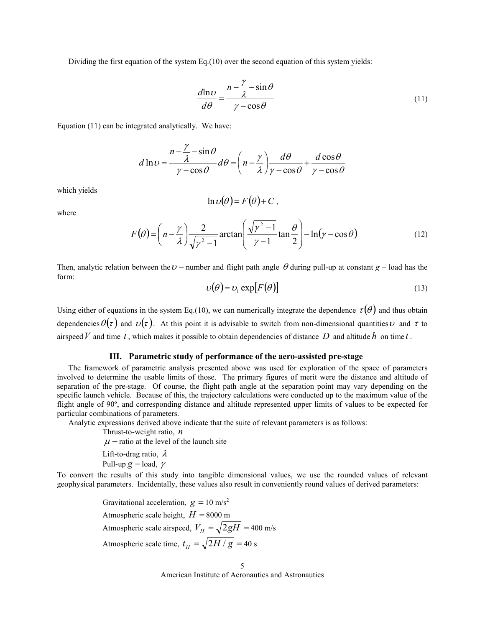Dividing the first equation of the system Eq.(10) over the second equation of this system yields:

$$
\frac{d\ln \nu}{d\theta} = \frac{n - \frac{\gamma}{\lambda} - \sin \theta}{\gamma - \cos \theta} \tag{11}
$$

Equation (11) can be integrated analytically. We have:

$$
d \ln v = \frac{n - \frac{\gamma}{\lambda} - \sin \theta}{\gamma - \cos \theta} d\theta = \left(n - \frac{\gamma}{\lambda}\right) \frac{d\theta}{\gamma - \cos \theta} + \frac{d \cos \theta}{\gamma - \cos \theta}
$$

which yields

$$
\ln \upsilon(\theta) = F(\theta) + C,
$$

where

$$
F(\theta) = \left(n - \frac{\gamma}{\lambda}\right) \frac{2}{\sqrt{\gamma^2 - 1}} \arctan\left(\frac{\sqrt{\gamma^2 - 1}}{\gamma - 1} \tan\frac{\theta}{2}\right) - \ln(\gamma - \cos\theta)
$$
 (12)

Then, analytic relation between the  $U$  – number and flight path angle  $\theta$  during pull-up at constant  $g$  – load has the form:

$$
\upsilon(\theta) = \upsilon_1 \exp[F(\theta)] \tag{13}
$$

Using either of equations in the system Eq.(10), we can numerically integrate the dependence  $\tau(\theta)$  and thus obtain dependencies  $\theta(\tau)$  and  $\upsilon(\tau)$ . At this point it is advisable to switch from non-dimensional quantities  $\upsilon$  and  $\tau$  to airspeed V and time t, which makes it possible to obtain dependencies of distance D and altitude  $h$  on time  $t$ .

# **III. Parametric study of performance of the aero-assisted pre-stage**

The framework of parametric analysis presented above was used for exploration of the space of parameters involved to determine the usable limits of those. The primary figures of merit were the distance and altitude of separation of the pre-stage. Of course, the flight path angle at the separation point may vary depending on the specific launch vehicle. Because of this, the trajectory calculations were conducted up to the maximum value of the flight angle of 90º, and corresponding distance and altitude represented upper limits of values to be expected for particular combinations of parameters.

Analytic expressions derived above indicate that the suite of relevant parameters is as follows:

Thrust-to-weight ratio, *n*

 $\mu$  – ratio at the level of the launch site

Lift-to-drag ratio,  $\lambda$ 

Pull-up  $g$  – load,  $\gamma$ 

To convert the results of this study into tangible dimensional values, we use the rounded values of relevant geophysical parameters. Incidentally, these values also result in conveniently round values of derived parameters:

> Gravitational acceleration,  $g = 10 \text{ m/s}^2$ Atmospheric scale height,  $H = 8000$  m Atmospheric scale airspeed,  $V_H = \sqrt{2gH} = 400$  m/s Atmospheric scale time,  $t_H = \sqrt{2H/g} = 40 \text{ s}$

> > American Institute of Aeronautics and Astronautics 5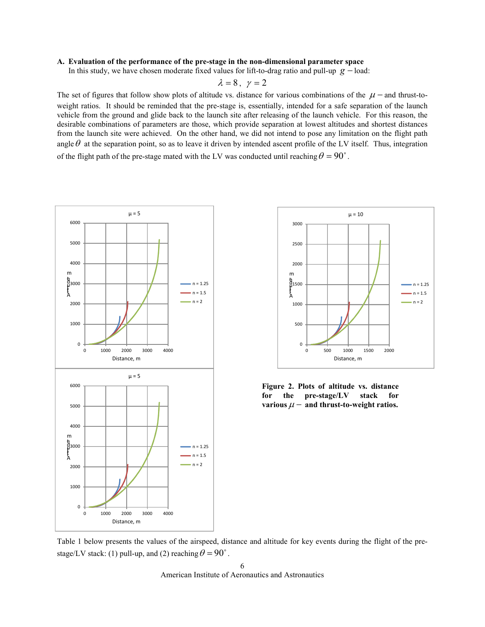## **A. Evaluation of the performance of the pre-stage in the non-dimensional parameter space**

In this study, we have chosen moderate fixed values for lift-to-drag ratio and pull-up *g* − load:

$$
\lambda=8\,,\;\;\gamma=2
$$

The set of figures that follow show plots of altitude vs. distance for various combinations of the  $\mu$  – and thrust-toweight ratios. It should be reminded that the pre-stage is, essentially, intended for a safe separation of the launch vehicle from the ground and glide back to the launch site after releasing of the launch vehicle. For this reason, the desirable combinations of parameters are those, which provide separation at lowest altitudes and shortest distances from the launch site were achieved. On the other hand, we did not intend to pose any limitation on the flight path angle  $\theta$  at the separation point, so as to leave it driven by intended ascent profile of the LV itself. Thus, integration of the flight path of the pre-stage mated with the LV was conducted until reaching  $\theta = 90^{\circ}$ .





**Figure 2. Plots of altitude vs. distance for the pre-stage/LV stack for**  various  $\mu$  – and thrust-to-weight ratios.

Table 1 below presents the values of the airspeed, distance and altitude for key events during the flight of the prestage/LV stack: (1) pull-up, and (2) reaching  $\theta = 90^\circ$ .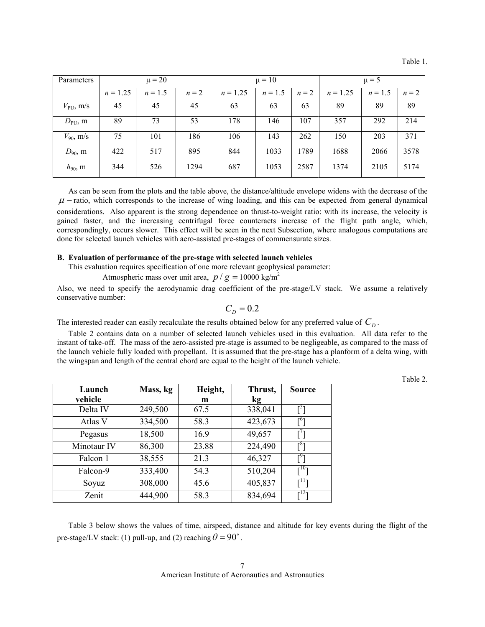Table 1.

| Parameters         | $\mu = 20$ |           |       | $\mu = 10$ |           |         | $\mu = 5$  |           |         |
|--------------------|------------|-----------|-------|------------|-----------|---------|------------|-----------|---------|
|                    | $n = 1.25$ | $n = 1.5$ | $n=2$ | $n = 1.25$ | $n = 1.5$ | $n = 2$ | $n = 1.25$ | $n = 1.5$ | $n = 2$ |
| $V_{\rm PU}$ , m/s | 45         | 45        | 45    | 63         | 63        | 63      | 89         | 89        | 89      |
| $D_{\rm PU}$ , m   | 89         | 73        | 53    | 178        | 146       | 107     | 357        | 292       | 214     |
| $V_{90}$ , m/s     | 75         | 101       | 186   | 106        | 143       | 262     | 150        | 203       | 371     |
| $D_{90}$ , m       | 422        | 517       | 895   | 844        | 1033      | 1789    | 1688       | 2066      | 3578    |
| $h_{90}$ , m       | 344        | 526       | 1294  | 687        | 1053      | 2587    | 1374       | 2105      | 5174    |

As can be seen from the plots and the table above, the distance/altitude envelope widens with the decrease of the  $\mu$  – ratio, which corresponds to the increase of wing loading, and this can be expected from general dynamical considerations. Also apparent is the strong dependence on thrust-to-weight ratio: with its increase, the velocity is gained faster, and the increasing centrifugal force counteracts increase of the flight path angle, which, correspondingly, occurs slower. This effect will be seen in the next Subsection, where analogous computations are done for selected launch vehicles with aero-assisted pre-stages of commensurate sizes.

## **B. Evaluation of performance of the pre-stage with selected launch vehicles**

This evaluation requires specification of one more relevant geophysical parameter:

Atmospheric mass over unit area,  $p / g = 10000 \text{ kg/m}^2$ 

Also, we need to specify the aerodynamic drag coefficient of the pre-stage/LV stack. We assume a relatively conservative number:

$$
C_D=0.2
$$

The interested reader can easily recalculate the results obtained below for any preferred value of *C<sup>D</sup>* .

Table 2 contains data on a number of selected launch vehicles used in this evaluation. All data refer to the instant of take-off. The mass of the aero-assisted pre-stage is assumed to be negligeable, as compared to the mass of the launch vehicle fully loaded with propellant. It is assumed that the pre-stage has a planform of a delta wing, with the wingspan and length of the central chord are equal to the height of the launch vehicle.

Table 2.

| Launch      | Mass, kg | Height, | Thrust, | <b>Source</b>            |
|-------------|----------|---------|---------|--------------------------|
| vehicle     |          | m       | kg      |                          |
| Delta IV    | 249,500  | 67.5    | 338,041 | $\mathsf{I}^5\mathsf{I}$ |
| Atlas V     | 334,500  | 58.3    | 423,673 | г61                      |
| Pegasus     | 18,500   | 16.9    | 49,657  | г / ๅ                    |
| Minotaur IV | 86,300   | 23.88   | 224,490 | г81                      |
| Falcon 1    | 38,555   | 21.3    | 46,327  | г9-                      |
| Falcon-9    | 333,400  | 54.3    | 510,204 | г10-                     |
| Soyuz       | 308,000  | 45.6    | 405,837 | г11-                     |
| Zenit       | 444,900  | 58.3    | 834,694 | г $12$ т                 |

Table 3 below shows the values of time, airspeed, distance and altitude for key events during the flight of the pre-stage/LV stack: (1) pull-up, and (2) reaching  $\theta = 90^\circ$ .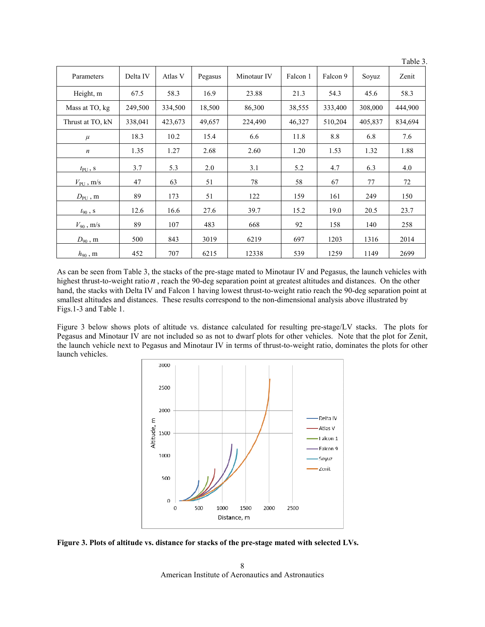|                    |          |         |         |             |          |          |         | Table 3. |
|--------------------|----------|---------|---------|-------------|----------|----------|---------|----------|
| Parameters         | Delta IV | Atlas V | Pegasus | Minotaur IV | Falcon 1 | Falcon 9 | Soyuz   | Zenit    |
| Height, m          | 67.5     | 58.3    | 16.9    | 23.88       | 21.3     | 54.3     | 45.6    | 58.3     |
| Mass at TO, kg     | 249,500  | 334,500 | 18,500  | 86,300      | 38,555   | 333,400  | 308,000 | 444,900  |
| Thrust at TO, kN   | 338,041  | 423,673 | 49,657  | 224,490     | 46,327   | 510,204  | 405,837 | 834,694  |
| $\mu$              | 18.3     | 10.2    | 15.4    | 6.6         | 11.8     | 8.8      | 6.8     | 7.6      |
| $\boldsymbol{n}$   | 1.35     | 1.27    | 2.68    | 2.60        | 1.20     | 1.53     | 1.32    | 1.88     |
| $t_{\rm PU}$ , S   | 3.7      | 5.3     | 2.0     | 3.1         | 5.2      | 4.7      | 6.3     | 4.0      |
| $V_{\rm PU}$ , m/s | 47       | 63      | 51      | 78          | 58       | 67       | 77      | 72       |
| $D_{\rm PU}$ , m   | 89       | 173     | 51      | 122         | 159      | 161      | 249     | 150      |
| $t_{90}$ , S       | 12.6     | 16.6    | 27.6    | 39.7        | 15.2     | 19.0     | 20.5    | 23.7     |
| $V_{90}$ , m/s     | 89       | 107     | 483     | 668         | 92       | 158      | 140     | 258      |
| $D_{90}$ , m       | 500      | 843     | 3019    | 6219        | 697      | 1203     | 1316    | 2014     |
| $h_{90}$ , m       | 452      | 707     | 6215    | 12338       | 539      | 1259     | 1149    | 2699     |

As can be seen from Table 3, the stacks of the pre-stage mated to Minotaur IV and Pegasus, the launch vehicles with highest thrust-to-weight ratio *n* , reach the 90-deg separation point at greatest altitudes and distances. On the other hand, the stacks with Delta IV and Falcon 1 having lowest thrust-to-weight ratio reach the 90-deg separation point at smallest altitudes and distances. These results correspond to the non-dimensional analysis above illustrated by Figs.1-3 and Table 1.

Figure 3 below shows plots of altitude vs. distance calculated for resulting pre-stage/LV stacks. The plots for Pegasus and Minotaur IV are not included so as not to dwarf plots for other vehicles. Note that the plot for Zenit, the launch vehicle next to Pegasus and Minotaur IV in terms of thrust-to-weight ratio, dominates the plots for other launch vehicles.



**Figure 3. Plots of altitude vs. distance for stacks of the pre-stage mated with selected LVs.**